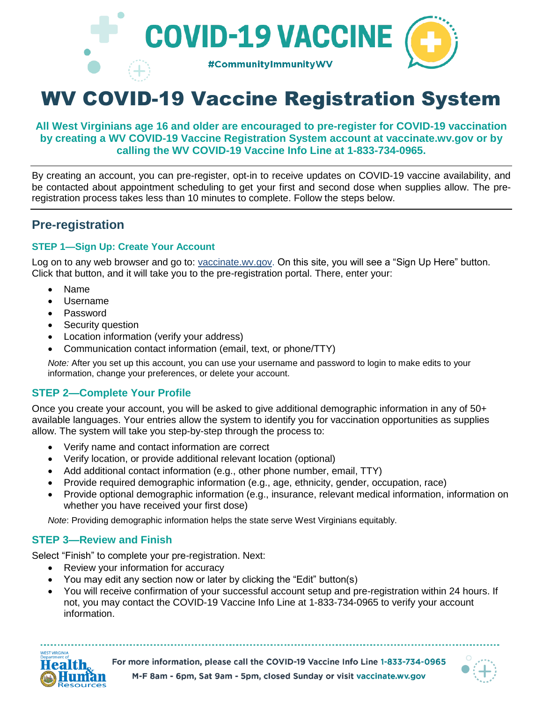

# WV COVID-19 Vaccine Registration System

## **All West Virginians age 16 and older are encouraged to pre-register for COVID-19 vaccination by creating a WV COVID-19 Vaccine Registration System account at vaccinate.wv.gov or by calling the WV COVID-19 Vaccine Info Line at 1-833-734-0965.**

By creating an account, you can pre-register, opt-in to receive updates on COVID-19 vaccine availability, and be contacted about appointment scheduling to get your first and second dose when supplies allow. The preregistration process takes less than 10 minutes to complete. Follow the steps below.

# **Pre-registration**

## **STEP 1—Sign Up: Create Your Account**

Log on to any web browser and go to: [vaccinate.wv.gov.](http://www.vaccinate.wv.gov/) On this site, you will see a "Sign Up Here" button. Click that button, and it will take you to the pre-registration portal. There, enter your:

- Name
- Username
- Password
- Security question
- Location information (verify your address)
- Communication contact information (email, text, or phone/TTY)

*Note:* After you set up this account, you can use your username and password to login to make edits to your information, change your preferences, or delete your account.

# **STEP 2—Complete Your Profile**

Once you create your account, you will be asked to give additional demographic information in any of 50+ available languages. Your entries allow the system to identify you for vaccination opportunities as supplies allow. The system will take you step-by-step through the process to:

- Verify name and contact information are correct
- Verify location, or provide additional relevant location (optional)
- Add additional contact information (e.g., other phone number, email, TTY)
- Provide required demographic information (e.g., age, ethnicity, gender, occupation, race)
- Provide optional demographic information (e.g., insurance, relevant medical information, information on whether you have received your first dose)

*Note*: Providing demographic information helps the state serve West Virginians equitably.

## **STEP 3—Review and Finish**

Select "Finish" to complete your pre-registration. Next:

- Review your information for accuracy
- You may edit any section now or later by clicking the "Edit" button(s)
- You will receive confirmation of your successful account setup and pre-registration within 24 hours. If not, you may contact the COVID-19 Vaccine Info Line at 1-833-734-0965 to verify your account information.



For more information, please call the COVID-19 Vaccine Info Line 1-833-734-0965 M-F 8am - 6pm, Sat 9am - 5pm, closed Sunday or visit vaccinate.wv.gov